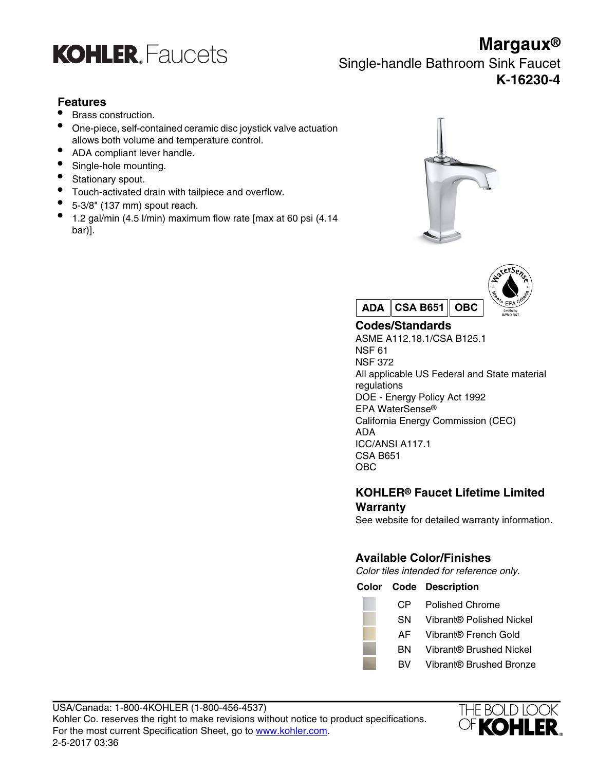

**Margaux®** Single-handle Bathroom Sink Faucet **K-16230-4**

## **Features**

- Brass construction.
- One-piece, self-contained ceramic disc joystick valve actuation allows both volume and temperature control.
- ADA compliant lever handle.
- Single-hole mounting.
- Stationary spout.
- Touch-activated drain with tailpiece and overflow.
- 5-3/8" (137 mm) spout reach.
- 1.2 gal/min (4.5 l/min) maximum flow rate [max at 60 psi (4.14 bar)].





## **Codes/Standards**

ASME A112.18.1/CSA B125.1 NSF 61 NSF 372 All applicable US Federal and State material regulations DOE - Energy Policy Act 1992 EPA WaterSense® California Energy Commission (CEC) ADA ICC/ANSI A117.1 CSA B651 OBC

## **KOHLER® Faucet Lifetime Limited Warranty**

See website for detailed warranty information.

## **Available Color/Finishes**

Color tiles intended for reference only.

**Color Code Description**

- CP Polished Chrome
- SN Vibrant® Polished Nickel
- AF Vibrant® French Gold
- BN Vibrant® Brushed Nickel
- BV Vibrant® Brushed Bronze